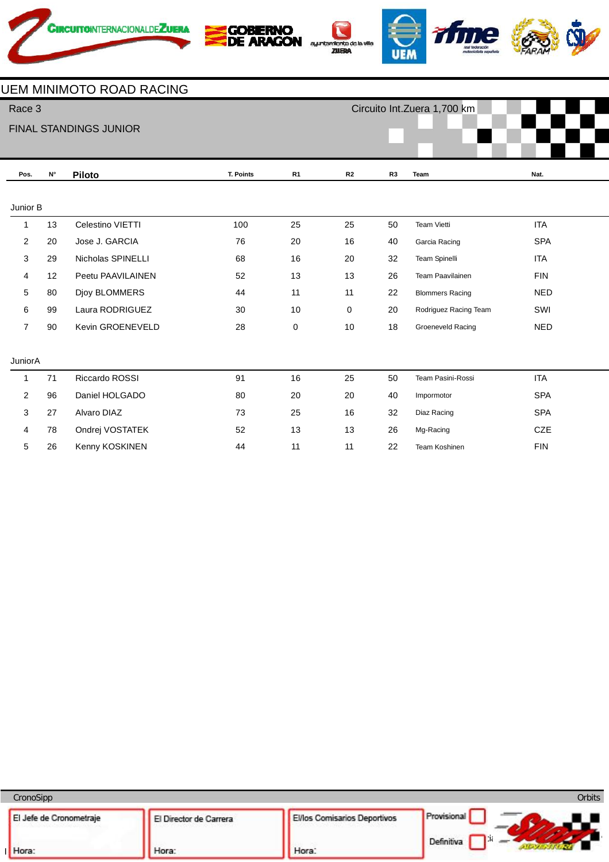







## UEM MINIMOTO ROAD RACING

| Race 3         |                    |                        |           |                |    | Circuito Int.Zuera 1,700 km |                        |            |  |  |
|----------------|--------------------|------------------------|-----------|----------------|----|-----------------------------|------------------------|------------|--|--|
|                |                    | FINAL STANDINGS JUNIOR |           |                |    |                             |                        |            |  |  |
|                |                    |                        |           |                |    |                             |                        |            |  |  |
| Pos.           | $\mathsf{N}^\circ$ | <b>Piloto</b>          | T. Points | R <sub>1</sub> | R2 | R <sub>3</sub>              | Team                   | Nat.       |  |  |
| Junior B       |                    |                        |           |                |    |                             |                        |            |  |  |
| $\mathbf{1}$   | 13                 | Celestino VIETTI       | 100       | 25             | 25 | 50                          | <b>Team Vietti</b>     | <b>ITA</b> |  |  |
| $\overline{2}$ | 20                 | Jose J. GARCIA         | 76        | 20             | 16 | 40                          | Garcia Racing          | <b>SPA</b> |  |  |
| 3              | 29                 | Nicholas SPINELLI      | 68        | 16             | 20 | 32                          | Team Spinelli          | <b>ITA</b> |  |  |
| 4              | 12                 | Peetu PAAVILAINEN      | 52        | 13             | 13 | 26                          | Team Paavilainen       | <b>FIN</b> |  |  |
| 5              | 80                 | Djoy BLOMMERS          | 44        | 11             | 11 | 22                          | <b>Blommers Racing</b> | <b>NED</b> |  |  |
| 6              | 99                 | Laura RODRIGUEZ        | 30        | 10             | 0  | 20                          | Rodriguez Racing Team  | SWI        |  |  |
| 7              | 90                 | Kevin GROENEVELD       | 28        | 0              | 10 | 18                          | Groeneveld Racing      | <b>NED</b> |  |  |
|                |                    |                        |           |                |    |                             |                        |            |  |  |
| JuniorA        |                    |                        |           |                |    |                             |                        |            |  |  |
| 1              | 71                 | Riccardo ROSSI         | 91        | 16             | 25 | 50                          | Team Pasini-Rossi      | <b>ITA</b> |  |  |
| $\overline{2}$ | 96                 | Daniel HOLGADO         | 80        | 20             | 20 | 40                          | Impormotor             | <b>SPA</b> |  |  |
| 3              | 27                 | Alvaro DIAZ            | 73        | 25             | 16 | 32                          | Diaz Racing            | <b>SPA</b> |  |  |
| 4              | 78                 | Ondrej VOSTATEK        | 52        | 13             | 13 | 26                          | Mg-Racing              | CZE        |  |  |
| 5              | 26                 | Kenny KOSKINEN         | 44        | 11             | 11 | 22                          | Team Koshinen          | <b>FIN</b> |  |  |

| CronoSipp               |                        |                                     | <b>Orbits</b> |
|-------------------------|------------------------|-------------------------------------|---------------|
| El Jefe de Cronometraje | El Director de Carrera | <b>El/los Comisarios Deportivos</b> | Provisional   |
| Hora:                   | Hora:                  | Hora:                               | Definitiva    |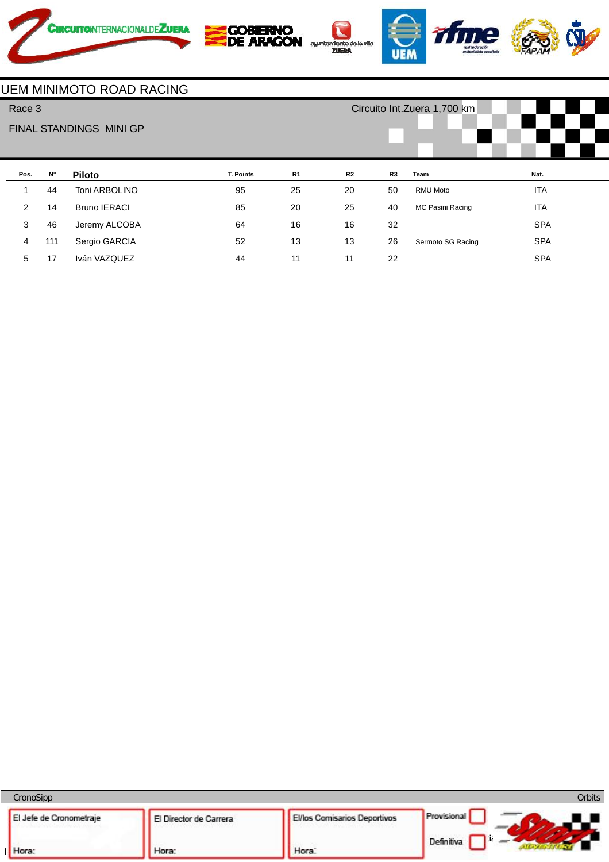









## UEM MINIMOTO ROAD RACING

| Race 3 |                         |             |                     |                  |                | Circuito Int. Zuera 1,700 km |                |                   |            |  |
|--------|-------------------------|-------------|---------------------|------------------|----------------|------------------------------|----------------|-------------------|------------|--|
|        | FINAL STANDINGS MINI GP |             |                     |                  |                |                              |                |                   |            |  |
|        | Pos.                    | $N^{\circ}$ | <b>Piloto</b>       | <b>T. Points</b> | R <sub>1</sub> | R2                           | R <sub>3</sub> | Team              | Nat.       |  |
|        | 1                       | 44          | Toni ARBOLINO       | 95               | 25             | 20                           | 50             | <b>RMU Moto</b>   | <b>ITA</b> |  |
|        | 2                       | 14          | <b>Bruno IERACI</b> | 85               | 20             | 25                           | 40             | MC Pasini Racing  | <b>ITA</b> |  |
|        | 3                       | 46          | Jeremy ALCOBA       | 64               | 16             | 16                           | 32             |                   | <b>SPA</b> |  |
|        | 4                       | 111         | Sergio GARCIA       | 52               | 13             | 13                           | 26             | Sermoto SG Racing | <b>SPA</b> |  |
|        | 5                       | 17          | Iván VAZQUEZ        | 44               | 11             | 11                           | 22             |                   | <b>SPA</b> |  |

CronoSipp Orbits Provisional El/los Comisarios Deportivos El Jefe de Cronometraje El Director de Carrera  $w = w$  $\Box$ Hora: I Hora: Hora: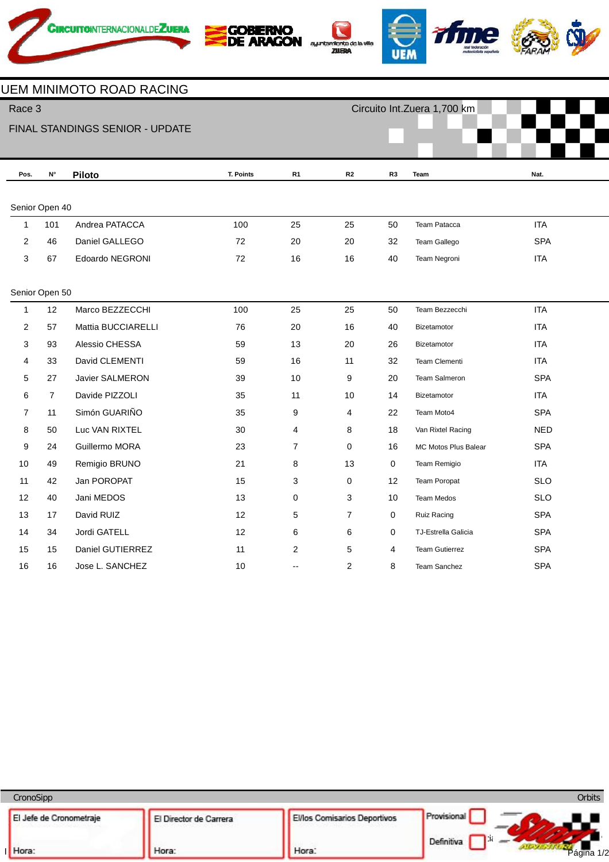









UEM MINIMOTO ROAD RACING

| Race 3                          |                |                    |                  |                |                |                | Circuito Int. Zuera 1,700 km |            |  |  |
|---------------------------------|----------------|--------------------|------------------|----------------|----------------|----------------|------------------------------|------------|--|--|
| FINAL STANDINGS SENIOR - UPDATE |                |                    |                  |                |                |                |                              |            |  |  |
|                                 |                |                    |                  |                |                |                |                              |            |  |  |
| Pos.                            | N°             | <b>Piloto</b>      | <b>T. Points</b> | R <sub>1</sub> | R2             | R <sub>3</sub> | Team                         | Nat.       |  |  |
|                                 |                |                    |                  |                |                |                |                              |            |  |  |
|                                 | Senior Open 40 |                    |                  |                |                |                |                              |            |  |  |
| $\mathbf 1$                     | 101            | Andrea PATACCA     | 100              | 25             | 25             | 50             | Team Patacca                 | <b>ITA</b> |  |  |
| $\overline{2}$                  | 46             | Daniel GALLEGO     | 72               | 20             | 20             | 32             | Team Gallego                 | <b>SPA</b> |  |  |
| 3                               | 67             | Edoardo NEGRONI    | 72               | 16             | 16             | 40             | Team Negroni                 | <b>ITA</b> |  |  |
|                                 |                |                    |                  |                |                |                |                              |            |  |  |
|                                 | Senior Open 50 |                    |                  |                |                |                |                              |            |  |  |
| $\mathbf{1}$                    | 12             | Marco BEZZECCHI    | 100              | 25             | 25             | 50             | Team Bezzecchi               | <b>ITA</b> |  |  |
| $\overline{2}$                  | 57             | Mattia BUCCIARELLI | 76               | 20             | 16             | 40             | Bizetamotor                  | <b>ITA</b> |  |  |
| 3                               | 93             | Alessio CHESSA     | 59               | 13             | 20             | 26             | Bizetamotor                  | <b>ITA</b> |  |  |
| 4                               | 33             | David CLEMENTI     | 59               | 16             | 11             | 32             | Team Clementi                | <b>ITA</b> |  |  |
| 5                               | 27             | Javier SALMERON    | 39               | 10             | 9              | 20             | Team Salmeron                | <b>SPA</b> |  |  |
| 6                               | $\overline{7}$ | Davide PIZZOLI     | 35               | 11             | 10             | 14             | Bizetamotor                  | <b>ITA</b> |  |  |
| 7                               | 11             | Simón GUARIÑO      | 35               | 9              | 4              | 22             | Team Moto4                   | <b>SPA</b> |  |  |
| 8                               | 50             | Luc VAN RIXTEL     | 30               | 4              | 8              | 18             | Van Rixtel Racing            | <b>NED</b> |  |  |
| 9                               | 24             | Guillermo MORA     | 23               | 7              | 0              | 16             | MC Motos Plus Balear         | <b>SPA</b> |  |  |
| $10$                            | 49             | Remigio BRUNO      | 21               | 8              | 13             | 0              | Team Remigio                 | <b>ITA</b> |  |  |
| 11                              | 42             | Jan POROPAT        | 15               | 3              | 0              | 12             | <b>Team Poropat</b>          | <b>SLO</b> |  |  |
| 12                              | 40             | Jani MEDOS         | 13               | 0              | 3              | 10             | <b>Team Medos</b>            | <b>SLO</b> |  |  |
| 13                              | 17             | David RUIZ         | 12               | 5              | 7              | 0              | Ruiz Racing                  | SPA        |  |  |
| 14                              | 34             | Jordi GATELL       | 12               | 6              | 6              | 0              | TJ-Estrella Galicia          | <b>SPA</b> |  |  |
| 15                              | 15             | Daniel GUTIERREZ   | 11               | 2              | 5              | 4              | <b>Team Gutierrez</b>        | <b>SPA</b> |  |  |
| 16                              | 16             | Jose L. SANCHEZ    | 10               | $-$            | $\overline{2}$ | 8              | <b>Team Sanchez</b>          | <b>SPA</b> |  |  |

CronoSipp Orbits El/los Comisarios Deportivos Provisional El Jefe de Cronometraje El Director de Carrera  $w = w$  $\Box$ Página 1/2Hora: I Hora: Hora: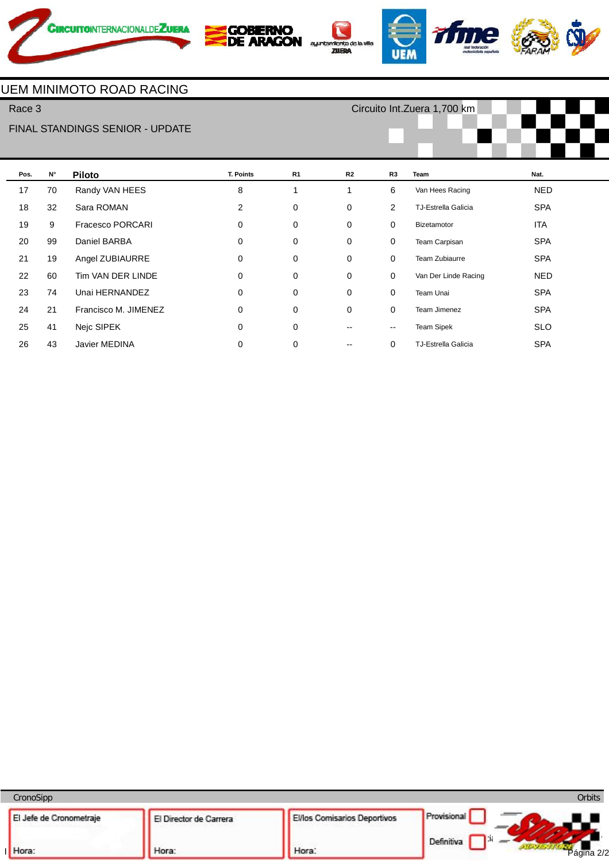









Race 3

## FINAL STANDINGS SENIOR - UPDATE

Circuito Int.Zuera 1,700 km



| Pos. | $N^{\circ}$ | <b>Piloto</b>           | T. Points | R <sub>1</sub> | R2 | R <sub>3</sub>           | Team                       | Nat.       |
|------|-------------|-------------------------|-----------|----------------|----|--------------------------|----------------------------|------------|
| 17   | 70          | Randy VAN HEES          | 8         |                | 1  | 6                        | Van Hees Racing            | <b>NED</b> |
| 18   | 32          | Sara ROMAN              | 2         | 0              | 0  | 2                        | <b>TJ-Estrella Galicia</b> | <b>SPA</b> |
| 19   | 9           | <b>Fracesco PORCARI</b> | 0         | 0              | 0  | 0                        | Bizetamotor                | ITA        |
| 20   | 99          | Daniel BARBA            | 0         | 0              | 0  | 0                        | Team Carpisan              | <b>SPA</b> |
| 21   | 19          | Angel ZUBIAURRE         | 0         | 0              | 0  | $\mathbf 0$              | Team Zubiaurre             | <b>SPA</b> |
| 22   | 60          | Tim VAN DER LINDE       | 0         | 0              | 0  | 0                        | Van Der Linde Racing       | <b>NED</b> |
| 23   | 74          | Unai HERNANDEZ          | 0         | 0              | 0  | $\mathbf 0$              | Team Unai                  | <b>SPA</b> |
| 24   | 21          | Francisco M. JIMENEZ    | 0         | 0              | 0  | 0                        | Team Jimenez               | <b>SPA</b> |
| 25   | 41          | Neic SIPEK              | 0         | 0              | -- | $\overline{\phantom{a}}$ | <b>Team Sipek</b>          | <b>SLO</b> |
| 26   | 43          | Javier MEDINA           | 0         | 0              | -- | 0                        | <b>TJ-Estrella Galicia</b> | <b>SPA</b> |

| CronoSipp               |                        |                                     | Orbits                   |
|-------------------------|------------------------|-------------------------------------|--------------------------|
| El Jefe de Cronometraje | El Director de Carrera | <b>El/los Comisarios Deportivos</b> | Provisional              |
| Hora:                   | Hora:                  | Hora:                               | Definitiva<br>Dágina 2/2 |